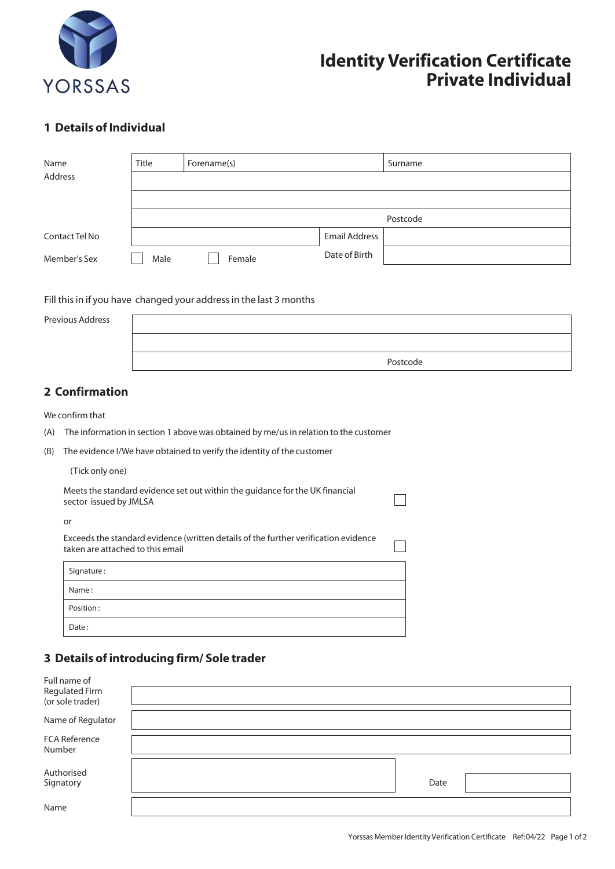

# **Identity Verification Certificate Private Individual**

#### **1 Details of Individual**

| Name           | <b>Title</b> | Forename(s) |                      | Surname  |
|----------------|--------------|-------------|----------------------|----------|
| Address        |              |             |                      |          |
|                |              |             |                      |          |
|                |              |             |                      | Postcode |
| Contact Tel No |              |             | <b>Email Address</b> |          |
| Member's Sex   | Male         | Female      | Date of Birth        |          |

Fill this in if you have changed your address in the last 3 months

| Previous Address |          |
|------------------|----------|
|                  |          |
|                  | Postcode |

 $\Box$ 

## **2 Confirmation**

We confirm that

- (A) The information in section 1 above was obtained by me/us in relation to the customer
- (B) The evidence I/We have obtained to verify the identity of the customer

(Tick only one)

| Meets the standard evidence set out within the guidance for the UK financial |
|------------------------------------------------------------------------------|
| sector issued by JMLSA                                                       |

or

| Exceeds the standard evidence (written details of the further verification evidence<br>taken are attached to this email |  |
|-------------------------------------------------------------------------------------------------------------------------|--|
|                                                                                                                         |  |

| Signature: |  |
|------------|--|
| Name:      |  |
| Position:  |  |
| Date:      |  |

## **3 Details of introducing firm/ Sole trader**

| Full name of<br>Regulated Firm<br>(or sole trader) |      |  |
|----------------------------------------------------|------|--|
| Name of Regulator                                  |      |  |
| FCA Reference<br>Number                            |      |  |
| Authorised<br>Signatory                            | Date |  |
| Name                                               |      |  |